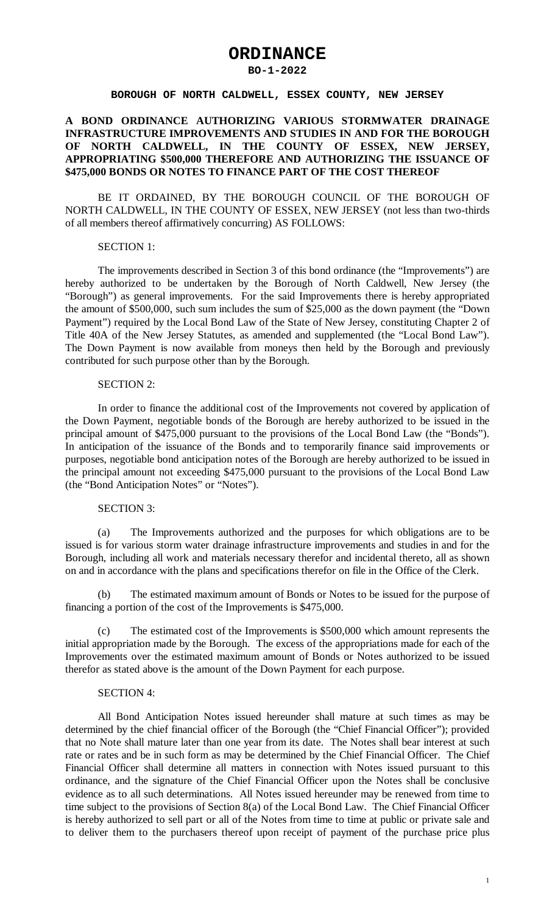# **ORDINANCE**

#### **BO-1-2022**

#### **BOROUGH OF NORTH CALDWELL, ESSEX COUNTY, NEW JERSEY**

# **A BOND ORDINANCE AUTHORIZING VARIOUS STORMWATER DRAINAGE INFRASTRUCTURE IMPROVEMENTS AND STUDIES IN AND FOR THE BOROUGH OF NORTH CALDWELL, IN THE COUNTY OF ESSEX, NEW JERSEY, APPROPRIATING \$500,000 THEREFORE AND AUTHORIZING THE ISSUANCE OF \$475,000 BONDS OR NOTES TO FINANCE PART OF THE COST THEREOF**

BE IT ORDAINED, BY THE BOROUGH COUNCIL OF THE BOROUGH OF NORTH CALDWELL, IN THE COUNTY OF ESSEX, NEW JERSEY (not less than two-thirds of all members thereof affirmatively concurring) AS FOLLOWS:

## SECTION 1:

The improvements described in Section 3 of this bond ordinance (the "Improvements") are hereby authorized to be undertaken by the Borough of North Caldwell, New Jersey (the "Borough") as general improvements. For the said Improvements there is hereby appropriated the amount of \$500,000, such sum includes the sum of \$25,000 as the down payment (the "Down Payment") required by the Local Bond Law of the State of New Jersey, constituting Chapter 2 of Title 40A of the New Jersey Statutes, as amended and supplemented (the "Local Bond Law"). The Down Payment is now available from moneys then held by the Borough and previously contributed for such purpose other than by the Borough.

## SECTION 2:

In order to finance the additional cost of the Improvements not covered by application of the Down Payment, negotiable bonds of the Borough are hereby authorized to be issued in the principal amount of \$475,000 pursuant to the provisions of the Local Bond Law (the "Bonds"). In anticipation of the issuance of the Bonds and to temporarily finance said improvements or purposes, negotiable bond anticipation notes of the Borough are hereby authorized to be issued in the principal amount not exceeding \$475,000 pursuant to the provisions of the Local Bond Law (the "Bond Anticipation Notes" or "Notes").

# SECTION 3:

(a) The Improvements authorized and the purposes for which obligations are to be issued is for various storm water drainage infrastructure improvements and studies in and for the Borough, including all work and materials necessary therefor and incidental thereto, all as shown on and in accordance with the plans and specifications therefor on file in the Office of the Clerk.

(b) The estimated maximum amount of Bonds or Notes to be issued for the purpose of financing a portion of the cost of the Improvements is \$475,000.

(c) The estimated cost of the Improvements is \$500,000 which amount represents the initial appropriation made by the Borough. The excess of the appropriations made for each of the Improvements over the estimated maximum amount of Bonds or Notes authorized to be issued therefor as stated above is the amount of the Down Payment for each purpose.

#### SECTION 4:

All Bond Anticipation Notes issued hereunder shall mature at such times as may be determined by the chief financial officer of the Borough (the "Chief Financial Officer"); provided that no Note shall mature later than one year from its date. The Notes shall bear interest at such rate or rates and be in such form as may be determined by the Chief Financial Officer. The Chief Financial Officer shall determine all matters in connection with Notes issued pursuant to this ordinance, and the signature of the Chief Financial Officer upon the Notes shall be conclusive evidence as to all such determinations. All Notes issued hereunder may be renewed from time to time subject to the provisions of Section 8(a) of the Local Bond Law. The Chief Financial Officer is hereby authorized to sell part or all of the Notes from time to time at public or private sale and to deliver them to the purchasers thereof upon receipt of payment of the purchase price plus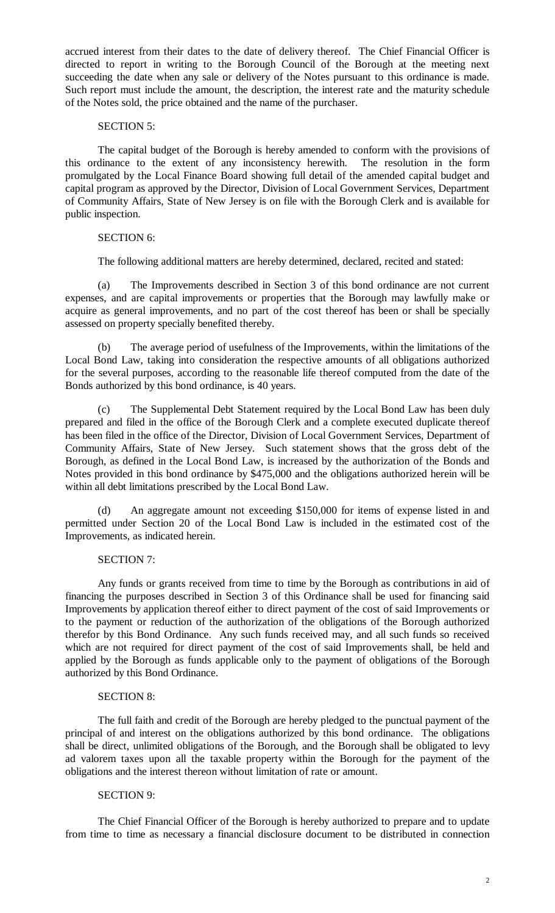accrued interest from their dates to the date of delivery thereof. The Chief Financial Officer is directed to report in writing to the Borough Council of the Borough at the meeting next succeeding the date when any sale or delivery of the Notes pursuant to this ordinance is made. Such report must include the amount, the description, the interest rate and the maturity schedule of the Notes sold, the price obtained and the name of the purchaser.

## SECTION 5:

The capital budget of the Borough is hereby amended to conform with the provisions of this ordinance to the extent of any inconsistency herewith. The resolution in the form promulgated by the Local Finance Board showing full detail of the amended capital budget and capital program as approved by the Director, Division of Local Government Services, Department of Community Affairs, State of New Jersey is on file with the Borough Clerk and is available for public inspection.

## SECTION 6:

The following additional matters are hereby determined, declared, recited and stated:

(a) The Improvements described in Section 3 of this bond ordinance are not current expenses, and are capital improvements or properties that the Borough may lawfully make or acquire as general improvements, and no part of the cost thereof has been or shall be specially assessed on property specially benefited thereby.

(b) The average period of usefulness of the Improvements, within the limitations of the Local Bond Law, taking into consideration the respective amounts of all obligations authorized for the several purposes, according to the reasonable life thereof computed from the date of the Bonds authorized by this bond ordinance, is 40 years.

(c) The Supplemental Debt Statement required by the Local Bond Law has been duly prepared and filed in the office of the Borough Clerk and a complete executed duplicate thereof has been filed in the office of the Director, Division of Local Government Services, Department of Community Affairs, State of New Jersey. Such statement shows that the gross debt of the Borough, as defined in the Local Bond Law, is increased by the authorization of the Bonds and Notes provided in this bond ordinance by \$475,000 and the obligations authorized herein will be within all debt limitations prescribed by the Local Bond Law.

(d) An aggregate amount not exceeding \$150,000 for items of expense listed in and permitted under Section 20 of the Local Bond Law is included in the estimated cost of the Improvements, as indicated herein.

## SECTION 7:

Any funds or grants received from time to time by the Borough as contributions in aid of financing the purposes described in Section 3 of this Ordinance shall be used for financing said Improvements by application thereof either to direct payment of the cost of said Improvements or to the payment or reduction of the authorization of the obligations of the Borough authorized therefor by this Bond Ordinance. Any such funds received may, and all such funds so received which are not required for direct payment of the cost of said Improvements shall, be held and applied by the Borough as funds applicable only to the payment of obligations of the Borough authorized by this Bond Ordinance.

## SECTION 8:

The full faith and credit of the Borough are hereby pledged to the punctual payment of the principal of and interest on the obligations authorized by this bond ordinance. The obligations shall be direct, unlimited obligations of the Borough, and the Borough shall be obligated to levy ad valorem taxes upon all the taxable property within the Borough for the payment of the obligations and the interest thereon without limitation of rate or amount.

## SECTION 9:

The Chief Financial Officer of the Borough is hereby authorized to prepare and to update from time to time as necessary a financial disclosure document to be distributed in connection